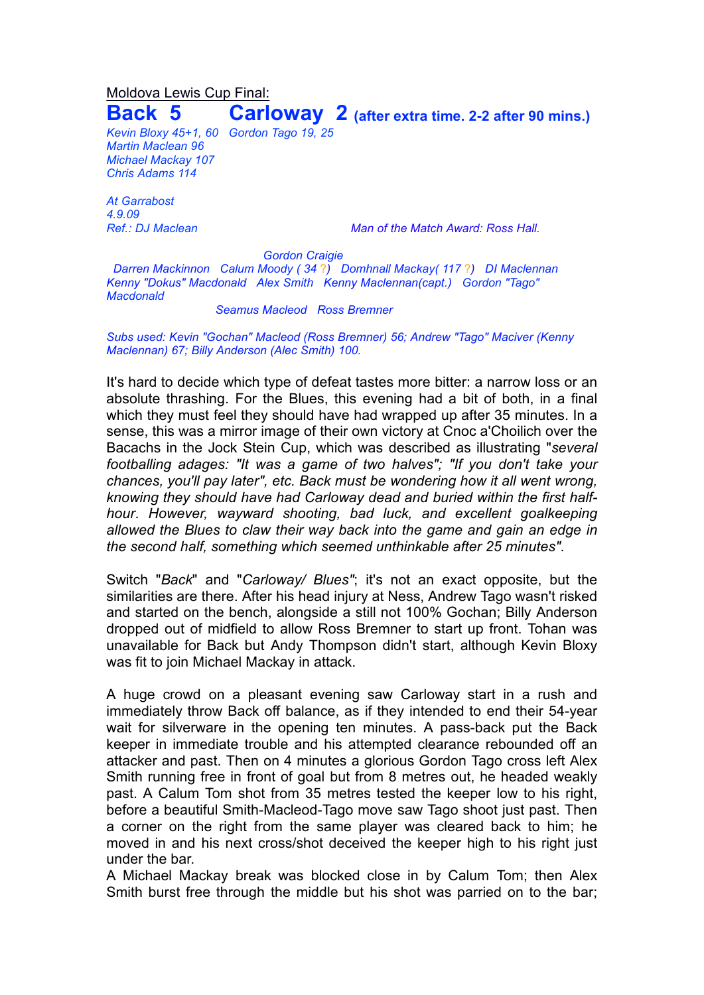## Moldova Lewis Cup Final: **Back 5 Carloway 2 (after extra time. 2-2 after <sup>90</sup> mins.)**

*Kevin Bloxy 45+1, 60 Gordon Tago 19, 25 Martin Maclean 96 Michael Mackay 107 Chris Adams 114*

*At Garrabost 4.9.09*

*Ref.: DJ Maclean Man of the Match Award: Ross Hall.*

*Gordon Craigie*

*Darren Mackinnon Calum Moody ( 34* ?*) Domhnall Mackay( 117* ?*) DI Maclennan Kenny "Dokus" Macdonald Alex Smith Kenny Maclennan(capt.) Gordon "Tago" Macdonald*

*Seamus Macleod Ross Bremner*

*Subs used: Kevin "Gochan" Macleod (Ross Bremner) 56; Andrew "Tago" Maciver (Kenny Maclennan) 67; Billy Anderson (Alec Smith) 100.*

It's hard to decide which type of defeat tastes more bitter: a narrow loss or an absolute thrashing. For the Blues, this evening had a bit of both, in a final which they must feel they should have had wrapped up after 35 minutes. In a sense, this was a mirror image of their own victory at Cnoc a'Choilich over the Bacachs in the Jock Stein Cup, which was described as illustrating "*several footballing adages: "It was a game of two halves"; "If you don't take your chances, you'll pay later", etc. Back must be wondering how it all went wrong, knowing they should have had Carloway dead and buried within the first halfhour*. *However, wayward shooting, bad luck, and excellent goalkeeping allowed the Blues to claw their way back into the game and gain an edge in the second half, something which seemed unthinkable after 25 minutes"*.

Switch "*Back*" and "*Carloway/ Blues"*; it's not an exact opposite, but the similarities are there. After his head injury at Ness, Andrew Tago wasn't risked and started on the bench, alongside a still not 100% Gochan; Billy Anderson dropped out of midfield to allow Ross Bremner to start up front. Tohan was unavailable for Back but Andy Thompson didn't start, although Kevin Bloxy was fit to join Michael Mackay in attack.

A huge crowd on a pleasant evening saw Carloway start in a rush and immediately throw Back off balance, as if they intended to end their 54-year wait for silverware in the opening ten minutes. A pass-back put the Back keeper in immediate trouble and his attempted clearance rebounded off an attacker and past. Then on 4 minutes a glorious Gordon Tago cross left Alex Smith running free in front of goal but from 8 metres out, he headed weakly past. A Calum Tom shot from 35 metres tested the keeper low to his right, before a beautiful Smith-Macleod-Tago move saw Tago shoot just past. Then a corner on the right from the same player was cleared back to him; he moved in and his next cross/shot deceived the keeper high to his right just under the bar.

A Michael Mackay break was blocked close in by Calum Tom; then Alex Smith burst free through the middle but his shot was parried on to the bar;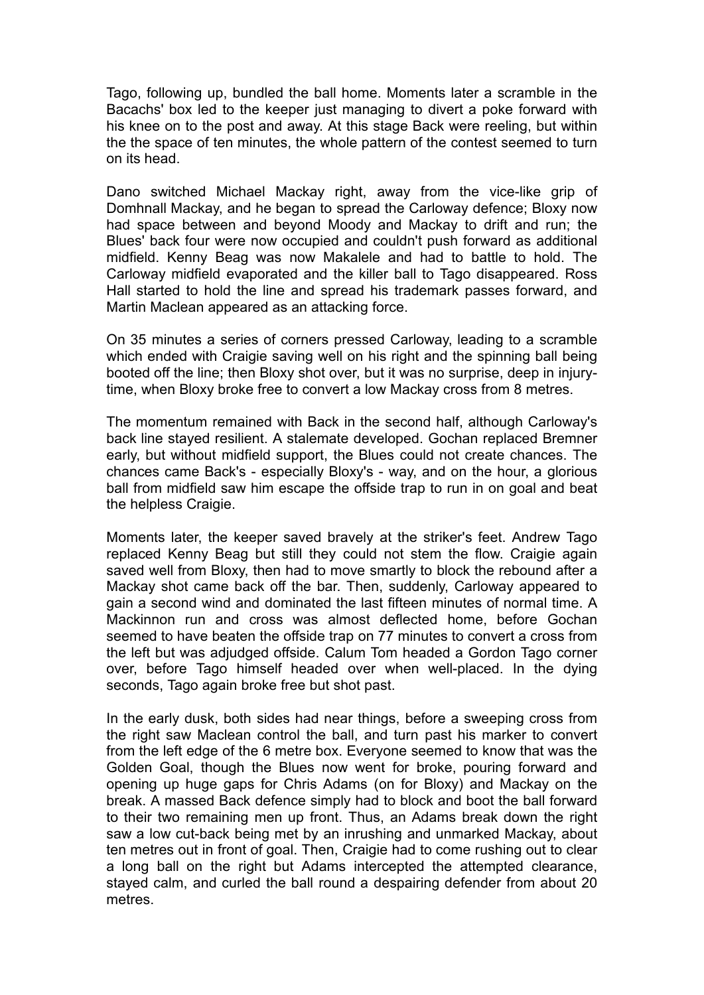Tago, following up, bundled the ball home. Moments later a scramble in the Bacachs' box led to the keeper just managing to divert a poke forward with his knee on to the post and away. At this stage Back were reeling, but within the the space of ten minutes, the whole pattern of the contest seemed to turn on its head.

Dano switched Michael Mackay right, away from the vice-like grip of Domhnall Mackay, and he began to spread the Carloway defence; Bloxy now had space between and beyond Moody and Mackay to drift and run; the Blues' back four were now occupied and couldn't push forward as additional midfield. Kenny Beag was now Makalele and had to battle to hold. The Carloway midfield evaporated and the killer ball to Tago disappeared. Ross Hall started to hold the line and spread his trademark passes forward, and Martin Maclean appeared as an attacking force.

On 35 minutes a series of corners pressed Carloway, leading to a scramble which ended with Craigie saving well on his right and the spinning ball being booted off the line; then Bloxy shot over, but it was no surprise, deep in injurytime, when Bloxy broke free to convert a low Mackay cross from 8 metres.

The momentum remained with Back in the second half, although Carloway's back line stayed resilient. A stalemate developed. Gochan replaced Bremner early, but without midfield support, the Blues could not create chances. The chances came Back's - especially Bloxy's - way, and on the hour, a glorious ball from midfield saw him escape the offside trap to run in on goal and beat the helpless Craigie.

Moments later, the keeper saved bravely at the striker's feet. Andrew Tago replaced Kenny Beag but still they could not stem the flow. Craigie again saved well from Bloxy, then had to move smartly to block the rebound after a Mackay shot came back off the bar. Then, suddenly, Carloway appeared to gain a second wind and dominated the last fifteen minutes of normal time. A Mackinnon run and cross was almost deflected home, before Gochan seemed to have beaten the offside trap on 77 minutes to convert a cross from the left but was adjudged offside. Calum Tom headed a Gordon Tago corner over, before Tago himself headed over when well-placed. In the dying seconds, Tago again broke free but shot past.

In the early dusk, both sides had near things, before a sweeping cross from the right saw Maclean control the ball, and turn past his marker to convert from the left edge of the 6 metre box. Everyone seemed to know that was the Golden Goal, though the Blues now went for broke, pouring forward and opening up huge gaps for Chris Adams (on for Bloxy) and Mackay on the break. A massed Back defence simply had to block and boot the ball forward to their two remaining men up front. Thus, an Adams break down the right saw a low cut-back being met by an inrushing and unmarked Mackay, about ten metres out in front of goal. Then, Craigie had to come rushing out to clear a long ball on the right but Adams intercepted the attempted clearance, stayed calm, and curled the ball round a despairing defender from about 20 metres.